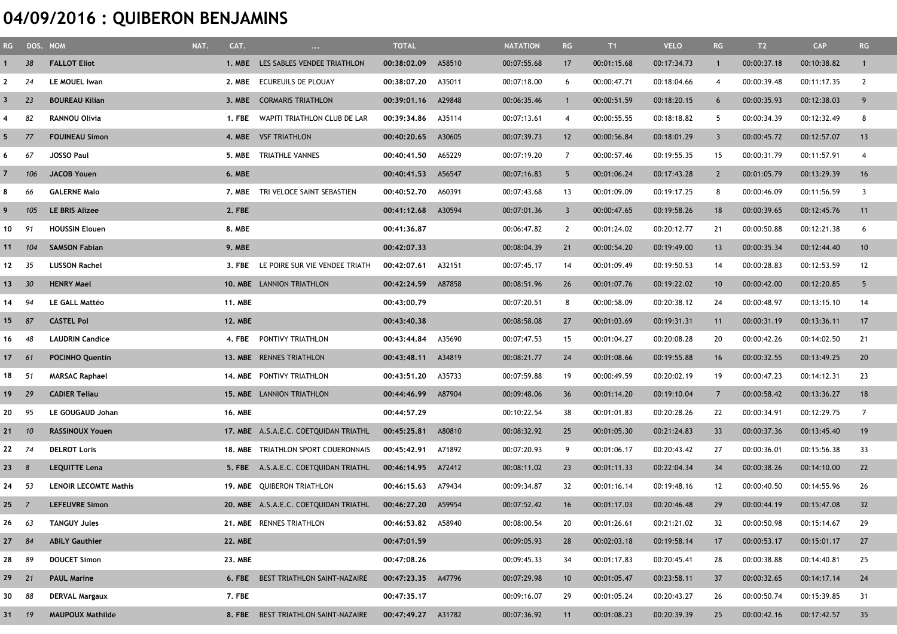## 04/09/2016 : QUIBERON BENJAMINS

|                   | RG DOS. NOM |                              | NAT.<br>CAT.   | $\ldots$                              | <b>TOTAL</b>       |        | <b>NATATION</b> | RG                      | T1          | <b>VELO</b> | RG             | T2          | <b>CAP</b>  | RG              |
|-------------------|-------------|------------------------------|----------------|---------------------------------------|--------------------|--------|-----------------|-------------------------|-------------|-------------|----------------|-------------|-------------|-----------------|
|                   | 38          | <b>FALLOT Eliot</b>          | 1. MBE         | LES SABLES VENDEE TRIATHLON           | 00:38:02.09        | A58510 | 00:07:55.68     | 17                      | 00:01:15.68 | 00:17:34.73 | $\mathbf{1}$   | 00:00:37.18 | 00:10:38.82 | $\mathbf{1}$    |
|                   | 24          | LE MOUEL Iwan                | 2. MBE         | ECUREUILS DE PLOUAY                   | 00:38:07.20        | A35011 | 00:07:18.00     | 6                       | 00:00:47.71 | 00:18:04.66 | 4              | 00:00:39.48 | 00:11:17.35 | $\overline{2}$  |
|                   | 23          | <b>BOUREAU Kilian</b>        | <b>3. MBE</b>  | <b>CORMARIS TRIATHLON</b>             | 00:39:01.16        | A29848 | 00:06:35.46     |                         | 00:00:51.59 | 00:18:20.15 | 6              | 00:00:35.93 | 00:12:38.03 | 9               |
|                   | 82          | <b>RANNOU Olivia</b>         | 1. FBE         | WAPITI TRIATHLON CLUB DE LAR          | 00:39:34.86        | A35114 | 00:07:13.61     | 4                       | 00:00:55.55 | 00:18:18.82 | 5              | 00:00:34.39 | 00:12:32.49 | 8               |
| 5.                | 77          | <b>FOUINEAU Simon</b>        |                | 4. MBE VSF TRIATHLON                  | 00:40:20.65        | A30605 | 00:07:39.73     | 12                      | 00:00:56.84 | 00:18:01.29 | 3              | 00:00:45.72 | 00:12:57.07 | 13              |
| 6                 | 67          | <b>JOSSO Paul</b>            | 5. MBE         | <b>TRIATHLE VANNES</b>                | 00:40:41.50        | A65229 | 00:07:19.20     | 7                       | 00:00:57.46 | 00:19:55.35 | 15             | 00:00:31.79 | 00:11:57.91 | $\overline{4}$  |
|                   | 106         | <b>JACOB Youen</b>           | 6. MBE         |                                       | 00:40:41.53        | A56547 | 00:07:16.83     | 5                       | 00:01:06.24 | 00:17:43.28 | $\overline{2}$ | 00:01:05.79 | 00:13:29.39 | 16              |
| 8                 | 66          | <b>GALERNE Malo</b>          |                | 7. MBE TRI VELOCE SAINT SEBASTIEN     | 00:40:52.70        | A60391 | 00:07:43.68     | 13                      | 00:01:09.09 | 00:19:17.25 | 8              | 00:00:46.09 | 00:11:56.59 | 3               |
|                   | 105         | LE BRIS Alizee               | 2. FBE         |                                       | 00:41:12.68        | A30594 | 00:07:01.36     | $\overline{\mathbf{3}}$ | 00:00:47.65 | 00:19:58.26 | 18             | 00:00:39.65 | 00:12:45.76 | 11              |
| 10                | 91          | <b>HOUSSIN Elouen</b>        | 8. MBE         |                                       | 00:41:36.87        |        | 00:06:47.82     | 2                       | 00:01:24.02 | 00:20:12.77 | 21             | 00:00:50.88 | 00:12:21.38 | 6               |
| 11                | 104         | <b>SAMSON Fabian</b>         | 9. MBE         |                                       | 00:42:07.33        |        | 00:08:04.39     | 21                      | 00:00:54.20 | 00:19:49.00 | 13             | 00:00:35.34 | 00:12:44.40 | 10 <sup>°</sup> |
| 12                | 35          | <b>LUSSON Rachel</b>         | 3. FBE         | LE POIRE SUR VIE VENDEE TRIATH        | 00:42:07.61        | A32151 | 00:07:45.17     | 14                      | 00:01:09.49 | 00:19:50.53 | 14             | 00:00:28.83 | 00:12:53.59 | 12              |
| 13                | 30          | <b>HENRY Mael</b>            |                | 10. MBE LANNION TRIATHLON             | 00:42:24.59        | A87858 | 00:08:51.96     | 26                      | 00:01:07.76 | 00:19:22.02 | 10             | 00:00:42.00 | 00:12:20.85 | $5\overline{)}$ |
| 14                | 94          | <b>LE GALL Mattéo</b>        | <b>11. MBE</b> |                                       | 00:43:00.79        |        | 00:07:20.51     | 8                       | 00:00:58.09 | 00:20:38.12 | 24             | 00:00:48.97 | 00:13:15.10 | 14              |
| 15                | 87          | <b>CASTEL Pol</b>            | <b>12. MBE</b> |                                       | 00:43:40.38        |        | 00:08:58.08     | 27                      | 00:01:03.69 | 00:19:31.31 | 11             | 00:00:31.19 | 00:13:36.11 | 17              |
| 16                | 48          | <b>LAUDRIN Candice</b>       |                | 4. FBE PONTIVY TRIATHLON              | 00:43:44.84        | A35690 | 00:07:47.53     | 15                      | 00:01:04.27 | 00:20:08.28 | 20             | 00:00:42.26 | 00:14:02.50 | 21              |
| 17                | 61          | <b>POCINHO Quentin</b>       |                | 13. MBE RENNES TRIATHLON              | 00:43:48.11        | A34819 | 00:08:21.77     | 24                      | 00:01:08.66 | 00:19:55.88 | 16             | 00:00:32.55 | 00:13:49.25 | 20              |
| 18                | 51          | <b>MARSAC Raphael</b>        |                | 14. MBE PONTIVY TRIATHLON             | 00:43:51.20        | A35733 | 00:07:59.88     | 19                      | 00:00:49.59 | 00:20:02.19 | 19             | 00:00:47.23 | 00:14:12.31 | 23              |
| 19                | 29          | <b>CADIER Teliau</b>         |                | 15. MBE LANNION TRIATHLON             | 00:44:46.99        | A87904 | 00:09:48.06     | 36                      | 00:01:14.20 | 00:19:10.04 | $\overline{7}$ | 00:00:58.42 | 00:13:36.27 | 18              |
| 20                | 95          | LE GOUGAUD Johan             | <b>16. MBE</b> |                                       | 00:44:57.29        |        | 00:10:22.54     | 38                      | 00:01:01.83 | 00:20:28.26 | 22             | 00:00:34.91 | 00:12:29.75 | $\overline{7}$  |
| 21                | 10          | <b>RASSINOUX Youen</b>       |                | 17. MBE A.S.A.E.C. COETQUIDAN TRIATHL | 00:45:25.81        | A80810 | 00:08:32.92     | 25                      | 00:01:05.30 | 00:21:24.83 | 33             | 00:00:37.36 | 00:13:45.40 | 19              |
| 22                | 74          | <b>DELROT Loris</b>          |                | 18. MBE TRIATHLON SPORT COUERONNAIS   | 00:45:42.91        | A71892 | 00:07:20.93     | 9                       | 00:01:06.17 | 00:20:43.42 | 27             | 00:00:36.01 | 00:15:56.38 | 33              |
| $23 \quad 8$      |             | <b>LEQUITTE Lena</b>         |                | 5. FBE A.S.A.E.C. COETQUIDAN TRIATHL  | 00:46:14.95        | A72412 | 00:08:11.02     | 23                      | 00:01:11.33 | 00:22:04.34 | 34             | 00:00:38.26 | 00:14:10.00 | 22              |
| 24                | 53          | <b>LENOIR LECOMTE Mathis</b> |                | 19. MBE QUIBERON TRIATHLON            | 00:46:15.63        | A79434 | 00:09:34.87     | 32                      | 00:01:16.14 | 00:19:48.16 | 12             | 00:00:40.50 | 00:14:55.96 | 26              |
| $25 \overline{7}$ |             | <b>LEFEUVRE Simon</b>        |                | 20. MBE A.S.A.E.C. COETQUIDAN TRIATHL | 00:46:27.20        | A59954 | 00:07:52.42     | 16                      | 00:01:17.03 | 00:20:46.48 | 29             | 00:00:44.19 | 00:15:47.08 | 32              |
| 26                | 63          | <b>TANGUY Jules</b>          |                | 21. MBE RENNES TRIATHLON              | 00:46:53.82 A58940 |        | 00:08:00.54     | 20                      | 00:01:26.61 | 00:21:21.02 | 32             | 00:00:50.98 | 00:15:14.67 | 29              |
| 27                | 84          | <b>ABILY Gauthier</b>        | <b>22. MBE</b> |                                       | 00:47:01.59        |        | 00:09:05.93     | 28                      | 00:02:03.18 | 00:19:58.14 | 17             | 00:00:53.17 | 00:15:01.17 | 27              |
| 28                | 89          | <b>DOUCET Simon</b>          | 23. MBE        |                                       | 00:47:08.26        |        | 00:09:45.33     | 34                      | 00:01:17.83 | 00:20:45.41 | 28             | 00:00:38.88 | 00:14:40.81 | 25              |
| 29                | 21          | <b>PAUL Marine</b>           |                | 6. FBE BEST TRIATHLON SAINT-NAZAIRE   | 00:47:23.35        | A47796 | 00:07:29.98     | 10                      | 00:01:05.47 | 00:23:58.11 | 37             | 00:00:32.65 | 00:14:17.14 | 24              |
| 30                | 88          | <b>DERVAL Margaux</b>        | 7. FBE         |                                       | 00:47:35.17        |        | 00:09:16.07     | 29                      | 00:01:05.24 | 00:20:43.27 | 26             | 00:00:50.74 | 00:15:39.85 | 31              |
| 31 19             |             | <b>MAUPOUX Mathilde</b>      |                | 8. FBE BEST TRIATHLON SAINT-NAZAIRE   | 00:47:49.27        | A31782 | 00:07:36.92     | 11                      | 00:01:08.23 | 00:20:39.39 | 25             | 00:00:42.16 | 00:17:42.57 | 35              |